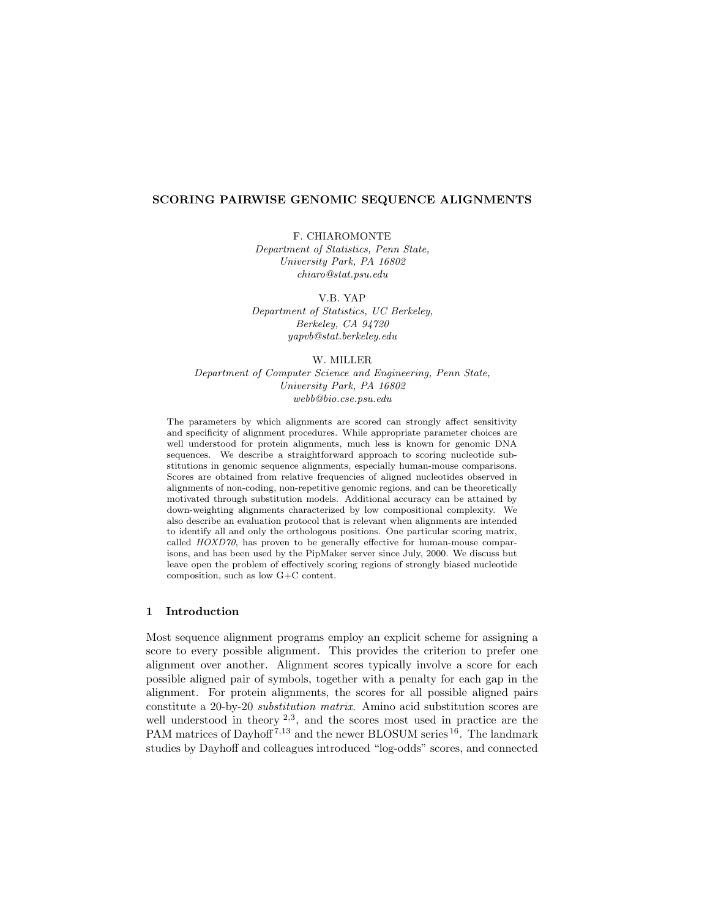# SCORING PAIRWISE GENOMIC SEQUENCE ALIGNMENTS

F. CHIAROMONTE

Department of Statistics, Penn State, University Park, PA 16802 chiaro@stat.psu.edu

V.B. YAP

Department of Statistics, UC Berkeley, Berkeley, CA 94720 yapvb@stat.berkeley.edu

#### W. MILLER

Department of Computer Science and Engineering, Penn State, University Park, PA 16802 webb@bio.cse.psu.edu

The parameters by which alignments are scored can strongly affect sensitivity and specificity of alignment procedures. While appropriate parameter choices are well understood for protein alignments, much less is known for genomic DNA sequences. We describe a straightforward approach to scoring nucleotide substitutions in genomic sequence alignments, especially human-mouse comparisons. Scores are obtained from relative frequencies of aligned nucleotides observed in alignments of non-coding, non-repetitive genomic regions, and can be theoretically motivated through substitution models. Additional accuracy can be attained by down-weighting alignments characterized by low compositional complexity. We also describe an evaluation protocol that is relevant when alignments are intended to identify all and only the orthologous positions. One particular scoring matrix, called HOXD70, has proven to be generally effective for human-mouse comparisons, and has been used by the PipMaker server since July, 2000. We discuss but leave open the problem of effectively scoring regions of strongly biased nucleotide composition, such as low G+C content.

### 1 Introduction

Most sequence alignment programs employ an explicit scheme for assigning a score to every possible alignment. This provides the criterion to prefer one alignment over another. Alignment scores typically involve a score for each possible aligned pair of symbols, together with a penalty for each gap in the alignment. For protein alignments, the scores for all possible aligned pairs constitute a 20-by-20 substitution matrix. Amino acid substitution scores are well understood in theory  $2.3$ , and the scores most used in practice are the PAM matrices of Dayhoff<sup>7,13</sup> and the newer BLOSUM series<sup>16</sup>. The landmark studies by Dayhoff and colleagues introduced "log-odds" scores, and connected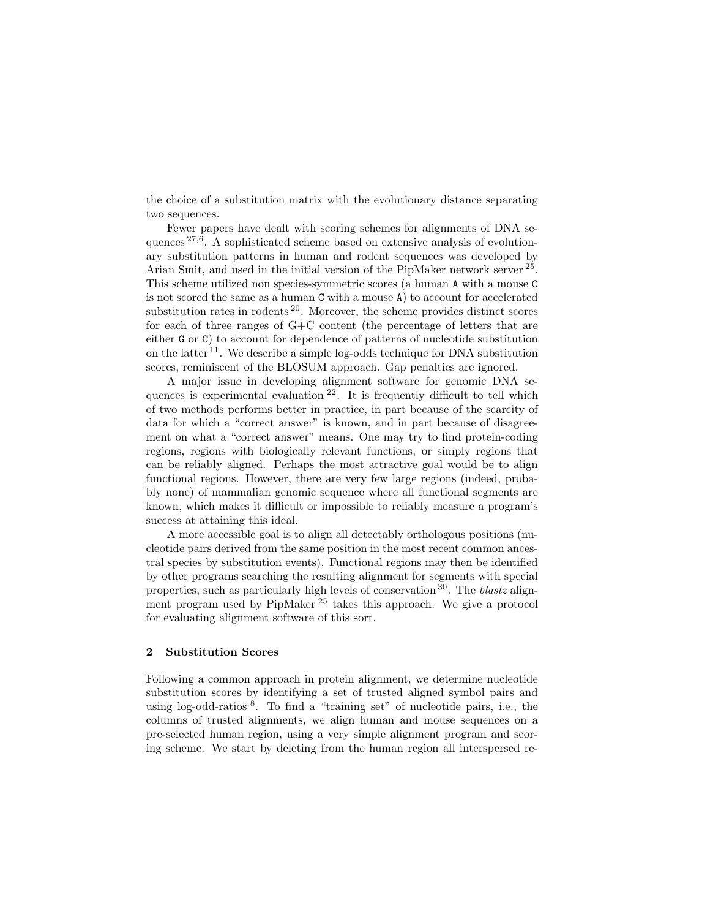the choice of a substitution matrix with the evolutionary distance separating two sequences.

Fewer papers have dealt with scoring schemes for alignments of DNA sequences <sup>27</sup>,<sup>6</sup> . A sophisticated scheme based on extensive analysis of evolutionary substitution patterns in human and rodent sequences was developed by Arian Smit, and used in the initial version of the PipMaker network server <sup>25</sup>. This scheme utilized non species-symmetric scores (a human A with a mouse C is not scored the same as a human C with a mouse A) to account for accelerated substitution rates in rodents  $20$ . Moreover, the scheme provides distinct scores for each of three ranges of G+C content (the percentage of letters that are either G or C) to account for dependence of patterns of nucleotide substitution on the latter<sup>11</sup>. We describe a simple log-odds technique for DNA substitution scores, reminiscent of the BLOSUM approach. Gap penalties are ignored.

A major issue in developing alignment software for genomic DNA sequences is experimental evaluation <sup>22</sup> . It is frequently difficult to tell which of two methods performs better in practice, in part because of the scarcity of data for which a "correct answer" is known, and in part because of disagreement on what a "correct answer" means. One may try to find protein-coding regions, regions with biologically relevant functions, or simply regions that can be reliably aligned. Perhaps the most attractive goal would be to align functional regions. However, there are very few large regions (indeed, probably none) of mammalian genomic sequence where all functional segments are known, which makes it difficult or impossible to reliably measure a program's success at attaining this ideal.

A more accessible goal is to align all detectably orthologous positions (nucleotide pairs derived from the same position in the most recent common ancestral species by substitution events). Functional regions may then be identified by other programs searching the resulting alignment for segments with special properties, such as particularly high levels of conservation <sup>30</sup>. The *blastz* alignment program used by PipMaker  $^{25}$  takes this approach. We give a protocol for evaluating alignment software of this sort.

### 2 Substitution Scores

Following a common approach in protein alignment, we determine nucleotide substitution scores by identifying a set of trusted aligned symbol pairs and using log-odd-ratios <sup>8</sup> . To find a "training set" of nucleotide pairs, i.e., the columns of trusted alignments, we align human and mouse sequences on a pre-selected human region, using a very simple alignment program and scoring scheme. We start by deleting from the human region all interspersed re-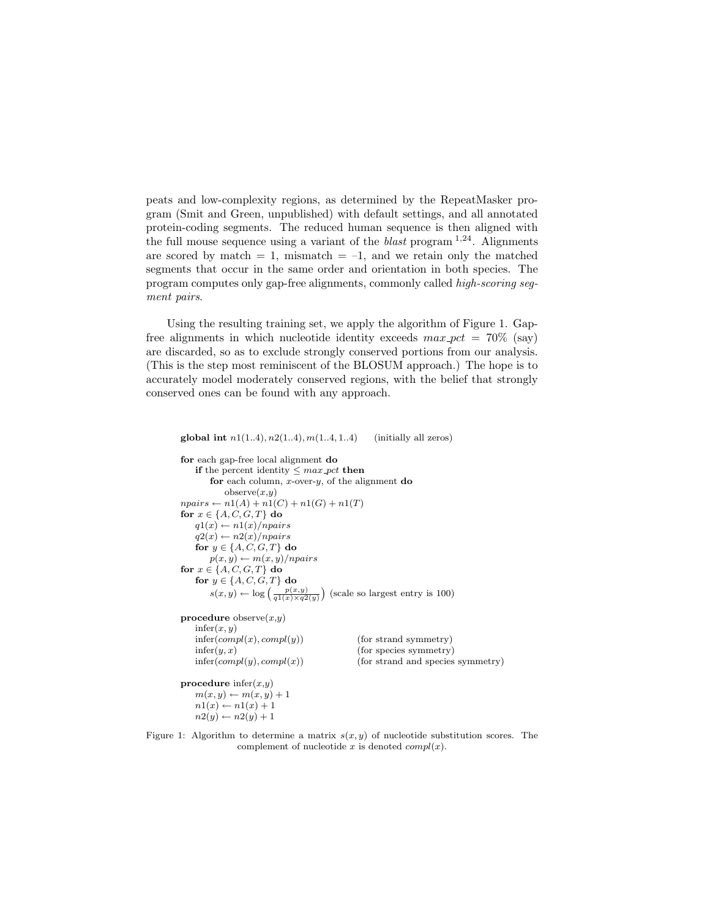peats and low-complexity regions, as determined by the RepeatMasker program (Smit and Green, unpublished) with default settings, and all annotated protein-coding segments. The reduced human sequence is then aligned with the full mouse sequence using a variant of the *blast* program  $1,24$ . Alignments are scored by match  $= 1$ , mismatch  $= -1$ , and we retain only the matched segments that occur in the same order and orientation in both species. The program computes only gap-free alignments, commonly called high-scoring segment pairs.

Using the resulting training set, we apply the algorithm of Figure 1. Gapfree alignments in which nucleotide identity exceeds  $max\_pot = 70\%$  (say) are discarded, so as to exclude strongly conserved portions from our analysis. (This is the step most reminiscent of the BLOSUM approach.) The hope is to accurately model moderately conserved regions, with the belief that strongly conserved ones can be found with any approach.

#### global int  $n1(1..4), n2(1..4), m(1..4, 1..4)$  (initially all zeros)

```
for each gap-free local alignment do
    if the percent identity \leq max pct then
        for each column, x-over-y, of the alignment do
            \text{observe}(x,y)npairs \leftarrow n1(A) + n1(C) + n1(G) + n1(T)for x \in \{A, C, G, T\} do
   q1(x) \leftarrow n1(x)/npairsq2(x) \leftarrow n2(x)/npairsfor y \in \{A, C, G, T\} do
       p(x,y) \leftarrow m(x,y)/npairsfor x \in \{A, C, G, T\} do
    for y \in \{A, C, G, T\} do
        s(x, y) \leftarrow \log\left(\frac{p(x, y)}{q_1(x) \times q_2(y)}\right) (scale so largest entry is 100)
procedure observe(x,y)\text{infer}(x, y)\text{infer}(compl(x), compl(y)) (for strand symmetry)<br>infer(y, x) (for species symmetry)
                                                   (for species symmetry)
    \inf_{x \in \mathcal{X}} \{ c \in \mathcal{X} \} (for strand and species symmetry)
procedure \text{infer}(x,y)m(x, y) \leftarrow m(x, y) + 1n1(x) \leftarrow n1(x) + 1n2(y) \leftarrow n2(y) + 1
```
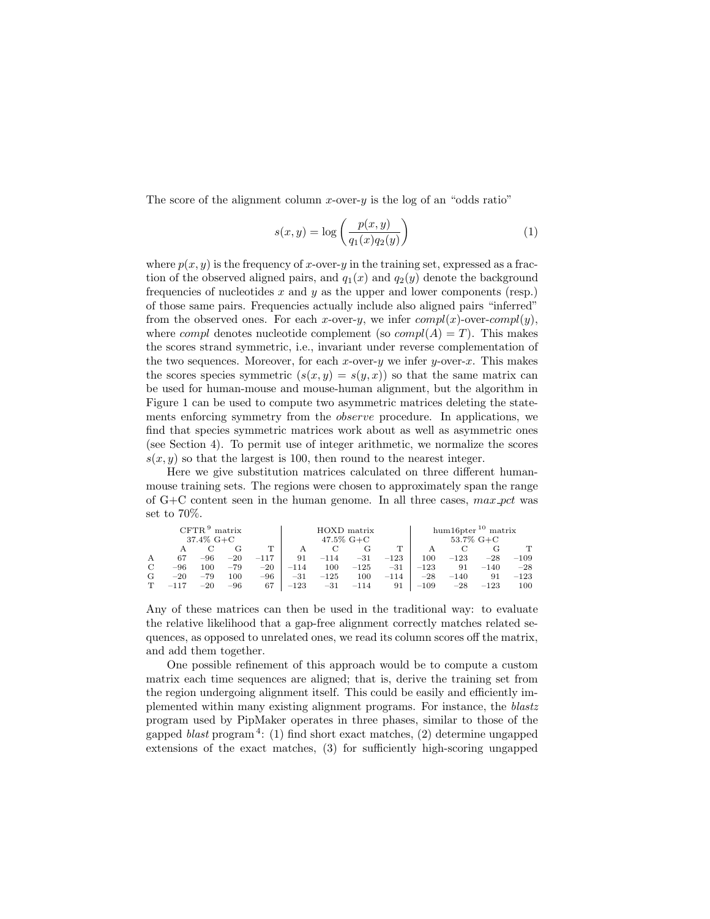The score of the alignment column x-over- $y$  is the log of an "odds ratio"

$$
s(x,y) = \log\left(\frac{p(x,y)}{q_1(x)q_2(y)}\right) \tag{1}
$$

where  $p(x, y)$  is the frequency of x-over-y in the training set, expressed as a fraction of the observed aligned pairs, and  $q_1(x)$  and  $q_2(y)$  denote the background frequencies of nucleotides  $x$  and  $y$  as the upper and lower components (resp.) of those same pairs. Frequencies actually include also aligned pairs "inferred" from the observed ones. For each x-over-y, we infer  $compl(x)$ -over- $compl(y)$ , where compl denotes nucleotide complement (so  $compl(A) = T$ ). This makes the scores strand symmetric, i.e., invariant under reverse complementation of the two sequences. Moreover, for each x-over- $\eta$  we infer  $\eta$ -over- $x$ . This makes the scores species symmetric  $(s(x, y) = s(y, x))$  so that the same matrix can be used for human-mouse and mouse-human alignment, but the algorithm in Figure 1 can be used to compute two asymmetric matrices deleting the statements enforcing symmetry from the observe procedure. In applications, we find that species symmetric matrices work about as well as asymmetric ones (see Section 4). To permit use of integer arithmetic, we normalize the scores  $s(x, y)$  so that the largest is 100, then round to the nearest integer.

Here we give substitution matrices calculated on three different humanmouse training sets. The regions were chosen to approximately span the range of G+C content seen in the human genome. In all three cases,  $max\_pot$  was set to 70%.

| $CFTR9$ matrix |                               |       |       |        | HOXD matrix |        |              |        | hum16pter $10$ matrix |        |        |        |
|----------------|-------------------------------|-------|-------|--------|-------------|--------|--------------|--------|-----------------------|--------|--------|--------|
|                | $37.4\% \text{ G} + \text{C}$ |       |       |        |             |        | $47.5\%$ G+C |        | 53.7% G+C             |        |        |        |
|                |                               |       |       | T      |             |        |              | T      |                       |        |        | T      |
| $\overline{A}$ | 67                            | -96   | $-20$ | $-117$ | 91          | $-114$ | $-31$        | $-123$ | 100                   | $-123$ | $-28$  | $-109$ |
|                | $-96$                         | 100   | $-79$ | $-20$  | $-114$      | 100    | $-125$       | $-31$  | $-123$                | 91     | $-140$ | $-28$  |
| G              | $-20$                         | $-79$ | 100   | $-96$  | $-31$       | $-125$ | 100          | $-114$ | $-28$                 | $-140$ | 91     | $-123$ |
|                | $-117$                        | $-20$ | $-96$ | 67     | $-123$      | $-31$  | $-114$       | 91     | $-109$                | $-28$  | $-123$ | 100    |

Any of these matrices can then be used in the traditional way: to evaluate the relative likelihood that a gap-free alignment correctly matches related sequences, as opposed to unrelated ones, we read its column scores off the matrix, and add them together.

One possible refinement of this approach would be to compute a custom matrix each time sequences are aligned; that is, derive the training set from the region undergoing alignment itself. This could be easily and efficiently implemented within many existing alignment programs. For instance, the blastz program used by PipMaker operates in three phases, similar to those of the gapped *blast* program<sup>4</sup>: (1) find short exact matches, (2) determine ungapped extensions of the exact matches, (3) for sufficiently high-scoring ungapped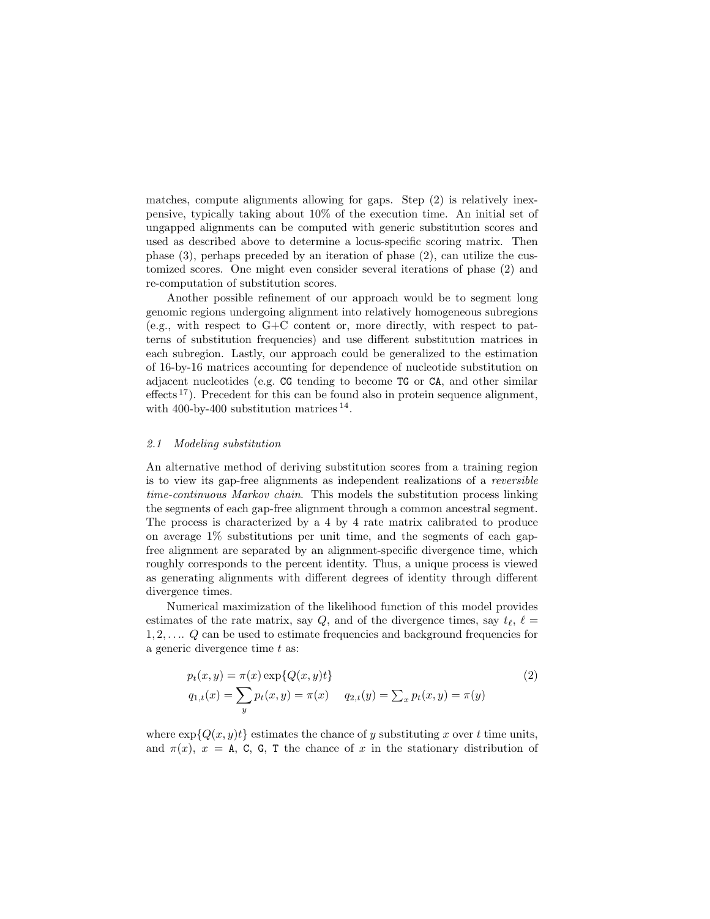matches, compute alignments allowing for gaps. Step (2) is relatively inexpensive, typically taking about 10% of the execution time. An initial set of ungapped alignments can be computed with generic substitution scores and used as described above to determine a locus-specific scoring matrix. Then phase (3), perhaps preceded by an iteration of phase (2), can utilize the customized scores. One might even consider several iterations of phase (2) and re-computation of substitution scores.

Another possible refinement of our approach would be to segment long genomic regions undergoing alignment into relatively homogeneous subregions (e.g., with respect to G+C content or, more directly, with respect to patterns of substitution frequencies) and use different substitution matrices in each subregion. Lastly, our approach could be generalized to the estimation of 16-by-16 matrices accounting for dependence of nucleotide substitution on adjacent nucleotides (e.g. CG tending to become TG or CA, and other similar  $\text{effects}^{17}$ . Precedent for this can be found also in protein sequence alignment, with 400-by-400 substitution matrices <sup>14</sup>.

#### 2.1 Modeling substitution

An alternative method of deriving substitution scores from a training region is to view its gap-free alignments as independent realizations of a reversible time-continuous Markov chain. This models the substitution process linking the segments of each gap-free alignment through a common ancestral segment. The process is characterized by a 4 by 4 rate matrix calibrated to produce on average 1% substitutions per unit time, and the segments of each gapfree alignment are separated by an alignment-specific divergence time, which roughly corresponds to the percent identity. Thus, a unique process is viewed as generating alignments with different degrees of identity through different divergence times.

Numerical maximization of the likelihood function of this model provides estimates of the rate matrix, say Q, and of the divergence times, say  $t_{\ell}$ ,  $\ell =$  $1, 2, \ldots$  Q can be used to estimate frequencies and background frequencies for a generic divergence time t as:

$$
p_t(x, y) = \pi(x) \exp\{Q(x, y)t\}
$$
  
\n
$$
q_{1,t}(x) = \sum_y p_t(x, y) = \pi(x) \qquad q_{2,t}(y) = \sum_x p_t(x, y) = \pi(y)
$$
\n(2)

where  $\exp\{Q(x, y)t\}$  estimates the chance of y substituting x over t time units, and  $\pi(x)$ ,  $x = A$ , C, G, T the chance of x in the stationary distribution of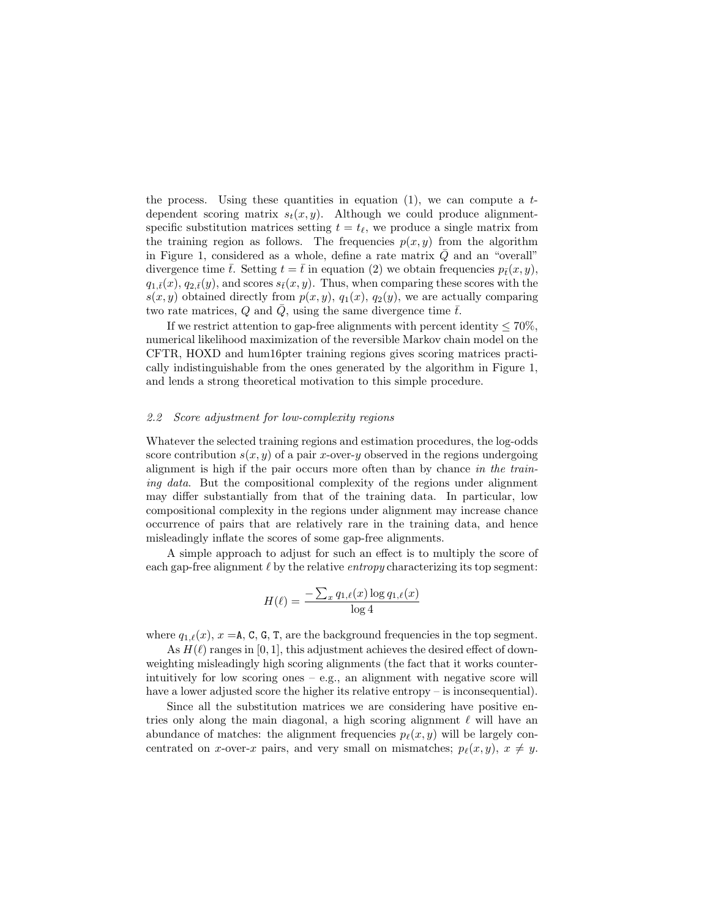the process. Using these quantities in equation  $(1)$ , we can compute a tdependent scoring matrix  $s_t(x, y)$ . Although we could produce alignmentspecific substitution matrices setting  $t = t_{\ell}$ , we produce a single matrix from the training region as follows. The frequencies  $p(x, y)$  from the algorithm in Figure 1, considered as a whole, define a rate matrix  $\overline{Q}$  and an "overall" divergence time  $\bar{t}$ . Setting  $t = \bar{t}$  in equation (2) we obtain frequencies  $p_{\bar{t}}(x, y)$ ,  $q_{1,\bar{t}}(x), q_{2,\bar{t}}(y)$ , and scores  $s_{\bar{t}}(x, y)$ . Thus, when comparing these scores with the  $s(x, y)$  obtained directly from  $p(x, y)$ ,  $q_1(x)$ ,  $q_2(y)$ , we are actually comparing two rate matrices, Q and Q, using the same divergence time  $\bar{t}$ .

If we restrict attention to gap-free alignments with percent identity  $\leq 70\%$ , numerical likelihood maximization of the reversible Markov chain model on the CFTR, HOXD and hum16pter training regions gives scoring matrices practically indistinguishable from the ones generated by the algorithm in Figure 1, and lends a strong theoretical motivation to this simple procedure.

### 2.2 Score adjustment for low-complexity regions

Whatever the selected training regions and estimation procedures, the log-odds score contribution  $s(x, y)$  of a pair x-over-y observed in the regions undergoing alignment is high if the pair occurs more often than by chance in the training data. But the compositional complexity of the regions under alignment may differ substantially from that of the training data. In particular, low compositional complexity in the regions under alignment may increase chance occurrence of pairs that are relatively rare in the training data, and hence misleadingly inflate the scores of some gap-free alignments.

A simple approach to adjust for such an effect is to multiply the score of each gap-free alignment  $\ell$  by the relative entropy characterizing its top segment:

$$
H(\ell) = \frac{-\sum_{x} q_{1,\ell}(x) \log q_{1,\ell}(x)}{\log 4}
$$

where  $q_{1,\ell}(x), x = A, C, G, T$ , are the background frequencies in the top segment.

As  $H(\ell)$  ranges in [0, 1], this adjustment achieves the desired effect of downweighting misleadingly high scoring alignments (the fact that it works counterintuitively for low scoring ones  $-$  e.g., an alignment with negative score will have a lower adjusted score the higher its relative entropy – is inconsequential).

Since all the substitution matrices we are considering have positive entries only along the main diagonal, a high scoring alignment  $\ell$  will have an abundance of matches: the alignment frequencies  $p_{\ell}(x, y)$  will be largely concentrated on x-over-x pairs, and very small on mismatches;  $p_{\ell}(x, y), x \neq y$ .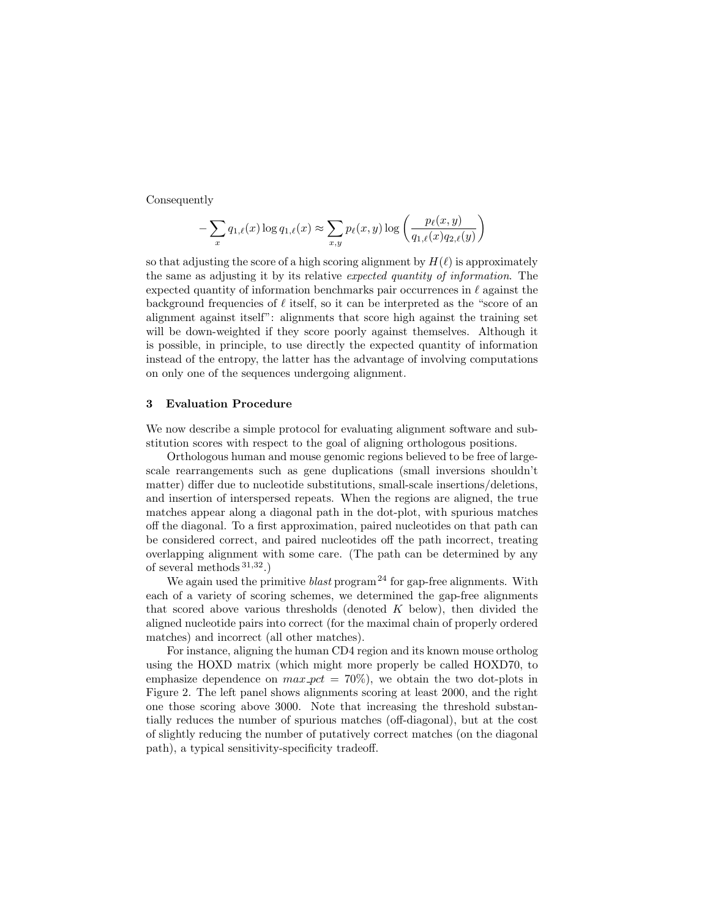Consequently

$$
-\sum_{x} q_{1,\ell}(x) \log q_{1,\ell}(x) \approx \sum_{x,y} p_{\ell}(x,y) \log \left( \frac{p_{\ell}(x,y)}{q_{1,\ell}(x) q_{2,\ell}(y)} \right)
$$

so that adjusting the score of a high scoring alignment by  $H(\ell)$  is approximately the same as adjusting it by its relative expected quantity of information. The expected quantity of information benchmarks pair occurrences in  $\ell$  against the background frequencies of  $\ell$  itself, so it can be interpreted as the "score of an alignment against itself": alignments that score high against the training set will be down-weighted if they score poorly against themselves. Although it is possible, in principle, to use directly the expected quantity of information instead of the entropy, the latter has the advantage of involving computations on only one of the sequences undergoing alignment.

### 3 Evaluation Procedure

We now describe a simple protocol for evaluating alignment software and substitution scores with respect to the goal of aligning orthologous positions.

Orthologous human and mouse genomic regions believed to be free of largescale rearrangements such as gene duplications (small inversions shouldn't matter) differ due to nucleotide substitutions, small-scale insertions/deletions, and insertion of interspersed repeats. When the regions are aligned, the true matches appear along a diagonal path in the dot-plot, with spurious matches off the diagonal. To a first approximation, paired nucleotides on that path can be considered correct, and paired nucleotides off the path incorrect, treating overlapping alignment with some care. (The path can be determined by any of several methods  $31,32$ .)

We again used the primitive *blast* program<sup>24</sup> for gap-free alignments. With each of a variety of scoring schemes, we determined the gap-free alignments that scored above various thresholds (denoted  $K$  below), then divided the aligned nucleotide pairs into correct (for the maximal chain of properly ordered matches) and incorrect (all other matches).

For instance, aligning the human CD4 region and its known mouse ortholog using the HOXD matrix (which might more properly be called HOXD70, to emphasize dependence on  $max{\text{-}pct} = 70\%)$ , we obtain the two dot-plots in Figure 2. The left panel shows alignments scoring at least 2000, and the right one those scoring above 3000. Note that increasing the threshold substantially reduces the number of spurious matches (off-diagonal), but at the cost of slightly reducing the number of putatively correct matches (on the diagonal path), a typical sensitivity-specificity tradeoff.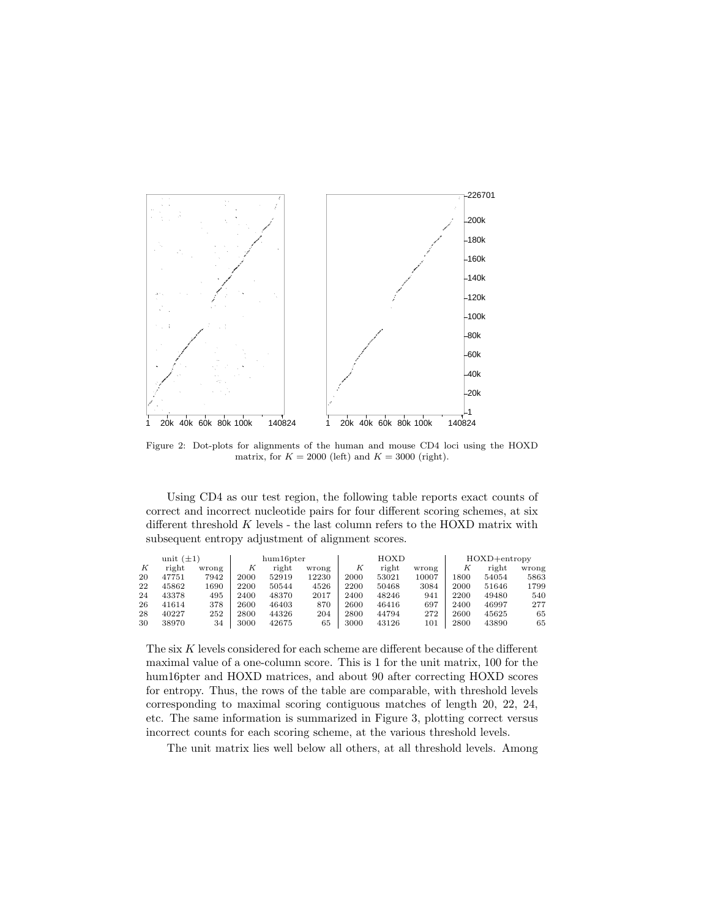

Figure 2: Dot-plots for alignments of the human and mouse CD4 loci using the HOXD matrix, for  $K = 2000$  (left) and  $K = 3000$  (right).

Using CD4 as our test region, the following table reports exact counts of correct and incorrect nucleotide pairs for four different scoring schemes, at six different threshold  $K$  levels - the last column refers to the HOXD matrix with subsequent entropy adjustment of alignment scores.

|    | unit $(\pm 1)$ |       |      | hum16pter |       |      | HOXD  |       | $HOXD+entropy$ |       |       |
|----|----------------|-------|------|-----------|-------|------|-------|-------|----------------|-------|-------|
| К  | right          | wrong | К    | right     | wrong | К    | right | wrong | К              | right | wrong |
| 20 | 47751          | 7942  | 2000 | 52919     | 12230 | 2000 | 53021 | 10007 | 1800           | 54054 | 5863  |
| 22 | 45862          | 1690  | 2200 | 50544     | 4526  | 2200 | 50468 | 3084  | 2000           | 51646 | 1799  |
| 24 | 43378          | 495   | 2400 | 48370     | 2017  | 2400 | 48246 | 941   | 2200           | 49480 | 540   |
| 26 | 41614          | 378   | 2600 | 46403     | 870   | 2600 | 46416 | 697   | 2400           | 46997 | 277   |
| 28 | 40227          | 252   | 2800 | 44326     | 204   | 2800 | 44794 | 272   | 2600           | 45625 | 65    |
| 30 | 38970          | 34    | 3000 | 42675     | 65    | 3000 | 43126 | 101   | 2800           | 43890 | 65    |

The six K levels considered for each scheme are different because of the different maximal value of a one-column score. This is 1 for the unit matrix, 100 for the hum16pter and HOXD matrices, and about 90 after correcting HOXD scores for entropy. Thus, the rows of the table are comparable, with threshold levels corresponding to maximal scoring contiguous matches of length 20, 22, 24, etc. The same information is summarized in Figure 3, plotting correct versus incorrect counts for each scoring scheme, at the various threshold levels.

The unit matrix lies well below all others, at all threshold levels. Among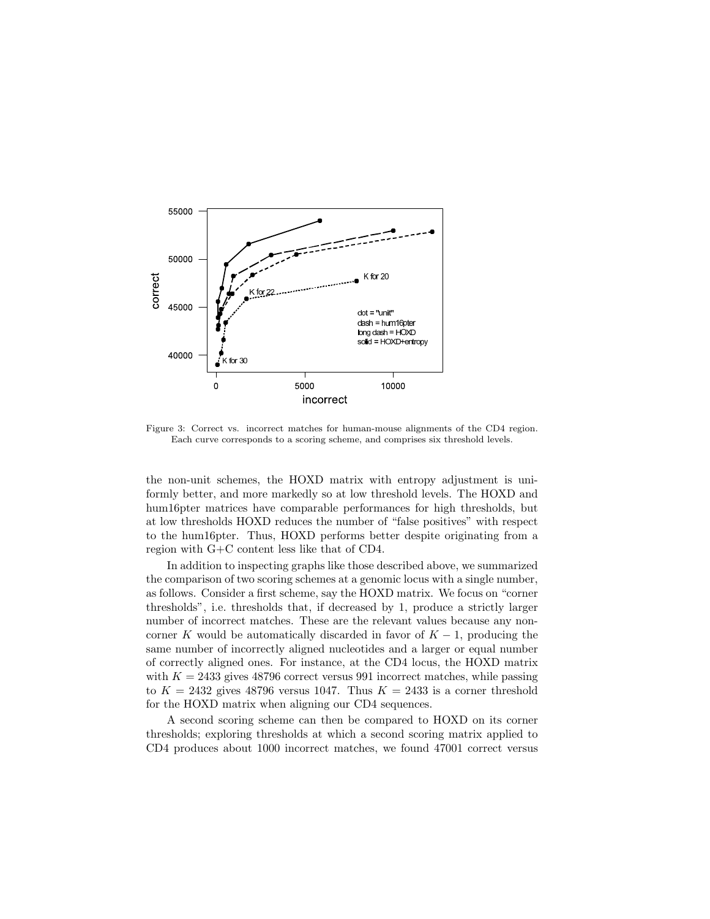

Figure 3: Correct vs. incorrect matches for human-mouse alignments of the CD4 region. Each curve corresponds to a scoring scheme, and comprises six threshold levels.

the non-unit schemes, the HOXD matrix with entropy adjustment is uniformly better, and more markedly so at low threshold levels. The HOXD and hum16pter matrices have comparable performances for high thresholds, but at low thresholds HOXD reduces the number of "false positives" with respect to the hum16pter. Thus, HOXD performs better despite originating from a region with G+C content less like that of CD4.

In addition to inspecting graphs like those described above, we summarized the comparison of two scoring schemes at a genomic locus with a single number, as follows. Consider a first scheme, say the HOXD matrix. We focus on "corner thresholds", i.e. thresholds that, if decreased by 1, produce a strictly larger number of incorrect matches. These are the relevant values because any noncorner K would be automatically discarded in favor of  $K - 1$ , producing the same number of incorrectly aligned nucleotides and a larger or equal number of correctly aligned ones. For instance, at the CD4 locus, the HOXD matrix with  $K = 2433$  gives 48796 correct versus 991 incorrect matches, while passing to  $K = 2432$  gives 48796 versus 1047. Thus  $K = 2433$  is a corner threshold for the HOXD matrix when aligning our CD4 sequences.

A second scoring scheme can then be compared to HOXD on its corner thresholds; exploring thresholds at which a second scoring matrix applied to CD4 produces about 1000 incorrect matches, we found 47001 correct versus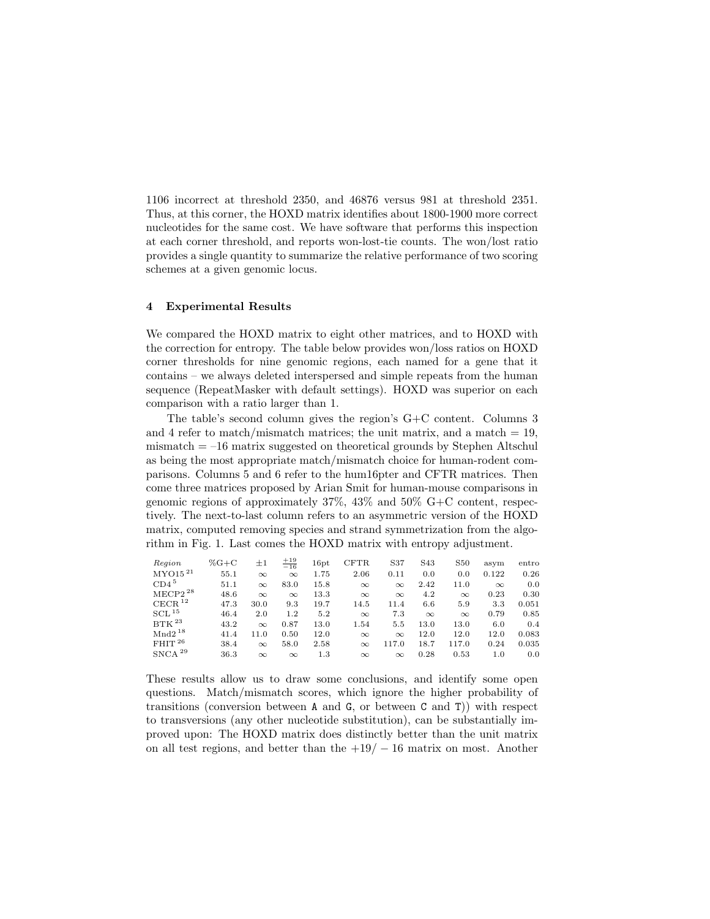1106 incorrect at threshold 2350, and 46876 versus 981 at threshold 2351. Thus, at this corner, the HOXD matrix identifies about 1800-1900 more correct nucleotides for the same cost. We have software that performs this inspection at each corner threshold, and reports won-lost-tie counts. The won/lost ratio provides a single quantity to summarize the relative performance of two scoring schemes at a given genomic locus.

## 4 Experimental Results

We compared the HOXD matrix to eight other matrices, and to HOXD with the correction for entropy. The table below provides won/loss ratios on HOXD corner thresholds for nine genomic regions, each named for a gene that it contains – we always deleted interspersed and simple repeats from the human sequence (RepeatMasker with default settings). HOXD was superior on each comparison with a ratio larger than 1.

The table's second column gives the region's G+C content. Columns 3 and 4 refer to match/mismatch matrices; the unit matrix, and a match  $= 19$ , mismatch  $= -16$  matrix suggested on theoretical grounds by Stephen Altschul as being the most appropriate match/mismatch choice for human-rodent comparisons. Columns 5 and 6 refer to the hum16pter and CFTR matrices. Then come three matrices proposed by Arian Smit for human-mouse comparisons in genomic regions of approximately  $37\%$ ,  $43\%$  and  $50\%$  G+C content, respectively. The next-to-last column refers to an asymmetric version of the HOXD matrix, computed removing species and strand symmetrization from the algorithm in Fig. 1. Last comes the HOXD matrix with entropy adjustment.

| Region                   | $%G+C$ | $\pm 1$  | $\frac{+19}{-16}$ | 16pt | <b>CFTR</b> | S37      | S <sub>43</sub> | S50      | asym     | entro |
|--------------------------|--------|----------|-------------------|------|-------------|----------|-----------------|----------|----------|-------|
| MYO15 <sup>21</sup>      | 55.1   | $\infty$ | $\infty$          | 1.75 | 2.06        | 0.11     | 0.0             | 0.0      | 0.122    | 0.26  |
| $CD4^5$                  | 51.1   | $\infty$ | 83.0              | 15.8 | $\infty$    | $\infty$ | 2.42            | 11.0     | $\infty$ | 0.0   |
| MECP2 <sup>28</sup>      | 48.6   | $\infty$ | $\infty$          | 13.3 | $\infty$    | $\infty$ | 4.2             | $\infty$ | 0.23     | 0.30  |
| CECR <sup>12</sup>       | 47.3   | 30.0     | 9.3               | 19.7 | 14.5        | 11.4     | 6.6             | 5.9      | 3.3      | 0.051 |
| $SCL$ <sup>15</sup>      | 46.4   | 2.0      | $1.2\,$           | 5.2  | $\infty$    | 7.3      | $\infty$        | $\infty$ | 0.79     | 0.85  |
| BTK <sup>23</sup>        | 43.2   | $\infty$ | 0.87              | 13.0 | 1.54        | 5.5      | 13.0            | 13.0     | 6.0      | 0.4   |
| $\mathrm{Mnd2}\,{}^{18}$ | 41.4   | 11.0     | 0.50              | 12.0 | $\infty$    | $\infty$ | 12.0            | 12.0     | 12.0     | 0.083 |
| FHIT $^{26}$             | 38.4   | $\infty$ | 58.0              | 2.58 | $\infty$    | 117.0    | 18.7            | 117.0    | 0.24     | 0.035 |
| SNCA <sup>29</sup>       | 36.3   | $\infty$ | $\infty$          | 1.3  | $\infty$    | $\infty$ | 0.28            | 0.53     | 1.0      | 0.0   |

These results allow us to draw some conclusions, and identify some open questions. Match/mismatch scores, which ignore the higher probability of transitions (conversion between A and G, or between C and T)) with respect to transversions (any other nucleotide substitution), can be substantially improved upon: The HOXD matrix does distinctly better than the unit matrix on all test regions, and better than the  $+19/-16$  matrix on most. Another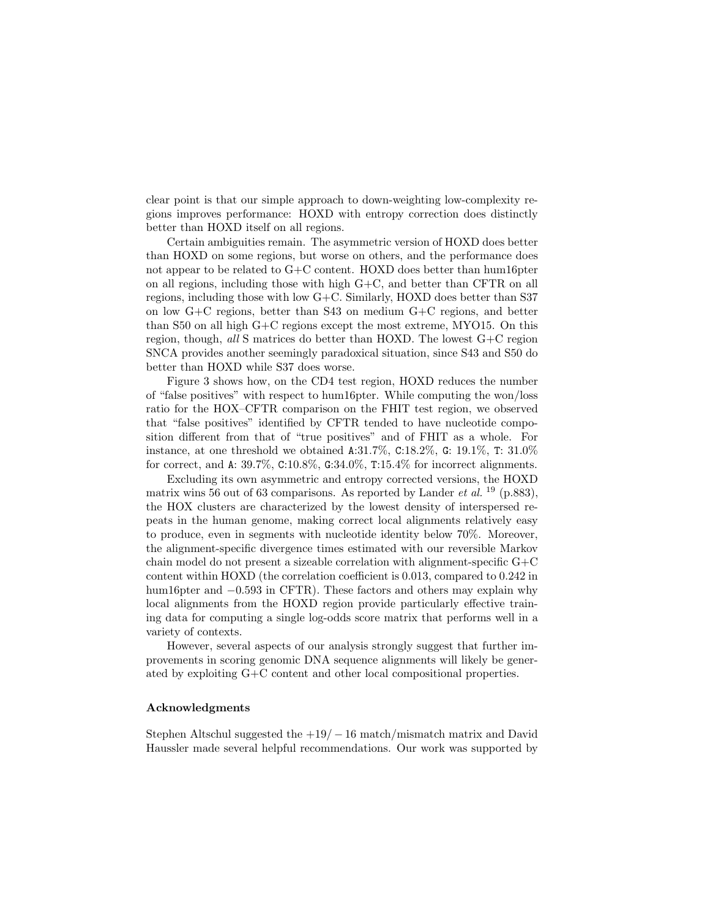clear point is that our simple approach to down-weighting low-complexity regions improves performance: HOXD with entropy correction does distinctly better than HOXD itself on all regions.

Certain ambiguities remain. The asymmetric version of HOXD does better than HOXD on some regions, but worse on others, and the performance does not appear to be related to  $G+C$  content. HOXD does better than hum16pter on all regions, including those with high G+C, and better than CFTR on all regions, including those with low G+C. Similarly, HOXD does better than S37 on low G+C regions, better than S43 on medium G+C regions, and better than S50 on all high G+C regions except the most extreme, MYO15. On this region, though, all S matrices do better than HOXD. The lowest G+C region SNCA provides another seemingly paradoxical situation, since S43 and S50 do better than HOXD while S37 does worse.

Figure 3 shows how, on the CD4 test region, HOXD reduces the number of "false positives" with respect to hum16pter. While computing the won/loss ratio for the HOX–CFTR comparison on the FHIT test region, we observed that "false positives" identified by CFTR tended to have nucleotide composition different from that of "true positives" and of FHIT as a whole. For instance, at one threshold we obtained A:31.7%, C:18.2%, G: 19.1%, T: 31.0% for correct, and A: 39.7%, C:10.8%, G:34.0%, T:15.4% for incorrect alignments.

Excluding its own asymmetric and entropy corrected versions, the HOXD matrix wins 56 out of 63 comparisons. As reported by Lander et al.  $^{19}$  (p.883), the HOX clusters are characterized by the lowest density of interspersed repeats in the human genome, making correct local alignments relatively easy to produce, even in segments with nucleotide identity below 70%. Moreover, the alignment-specific divergence times estimated with our reversible Markov chain model do not present a sizeable correlation with alignment-specific  $G+C$ content within HOXD (the correlation coefficient is 0.013, compared to 0.242 in hum16pter and −0.593 in CFTR). These factors and others may explain why local alignments from the HOXD region provide particularly effective training data for computing a single log-odds score matrix that performs well in a variety of contexts.

However, several aspects of our analysis strongly suggest that further improvements in scoring genomic DNA sequence alignments will likely be generated by exploiting G+C content and other local compositional properties.

## Acknowledgments

Stephen Altschul suggested the  $+19/-16$  match/mismatch matrix and David Haussler made several helpful recommendations. Our work was supported by